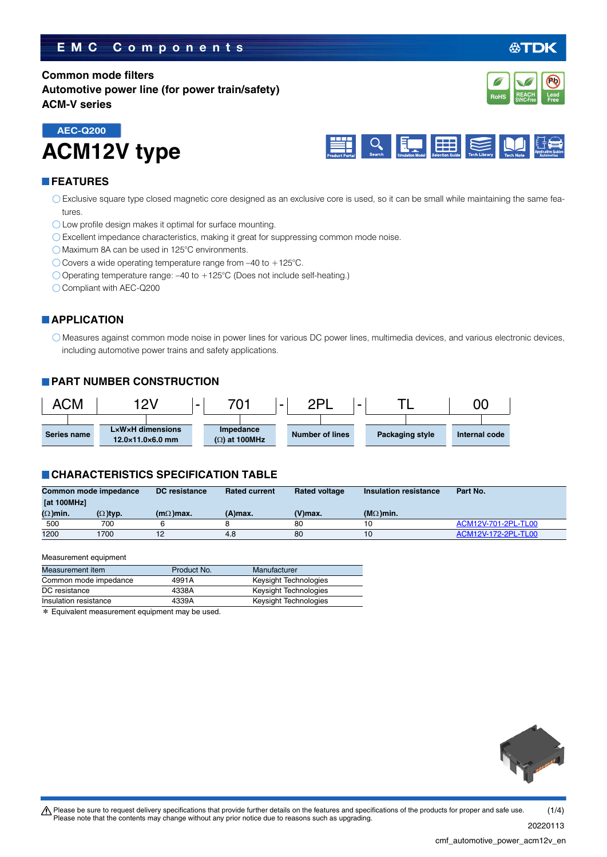### **EMC Components**

### **Common mode filters Automotive power line (for power train/safety) ACM-V series**





#### **FEATURES**

- Exclusive square type closed magnetic core designed as an exclusive core is used, so it can be small while maintaining the same features.
- O Low profile design makes it optimal for surface mounting.
- Excellent impedance characteristics, making it great for suppressing common mode noise.
- Maximum 8A can be used in 125°C environments.
- $\bigcirc$  Covers a wide operating temperature range from -40 to +125°C.
- Operating temperature range: –40 to +125°C (Does not include self-heating.)
- Compliant with AEC-Q200

#### **APPLICATION**

Measures against common mode noise in power lines for various DC power lines, multimedia devices, and various electronic devices, including automotive power trains and safety applications.

#### **PART NUMBER CONSTRUCTION**



#### **CHARACTERISTICS SPECIFICATION TABLE**

| Common mode impedance |                 | DC resistance    | <b>Rated current</b> | <b>Rated voltage</b> | Insulation resistance | Part No.            |  |
|-----------------------|-----------------|------------------|----------------------|----------------------|-----------------------|---------------------|--|
| [at 100MHz]           |                 |                  |                      |                      |                       |                     |  |
| $(\Omega)$ min.       | $(\Omega)$ typ. | $(m\Omega)$ max. | (A)max.              | $(V)$ max.           | ( $M\Omega$ )min.     |                     |  |
| 500                   | 700             |                  |                      | 80                   | 10                    | ACM12V-701-2PL-TL00 |  |
| 1200                  | 1700            |                  | 4.8                  | 80                   | 10                    | ACM12V-172-2PL-TL00 |  |

#### Measurement equipment

| Measurement item      | Product No. | Manufacturer          |
|-----------------------|-------------|-----------------------|
| Common mode impedance | 4991A       | Keysight Technologies |
| DC resistance         | 4338A       | Keysight Technologies |
| Insulation resistance | 4339A       | Keysight Technologies |

\* Equivalent measurement equipment may be used.



t Please be sure to request delivery specifications that provide further details on the features and specifications of the products for proper and safe use. Please note that the contents may change without any prior notice due to reasons such as upgrading.  $(1/4)$ 

20220113



**Pb**

**REACH SVHC-Free Lead FROMS** SVHC-Free **Free**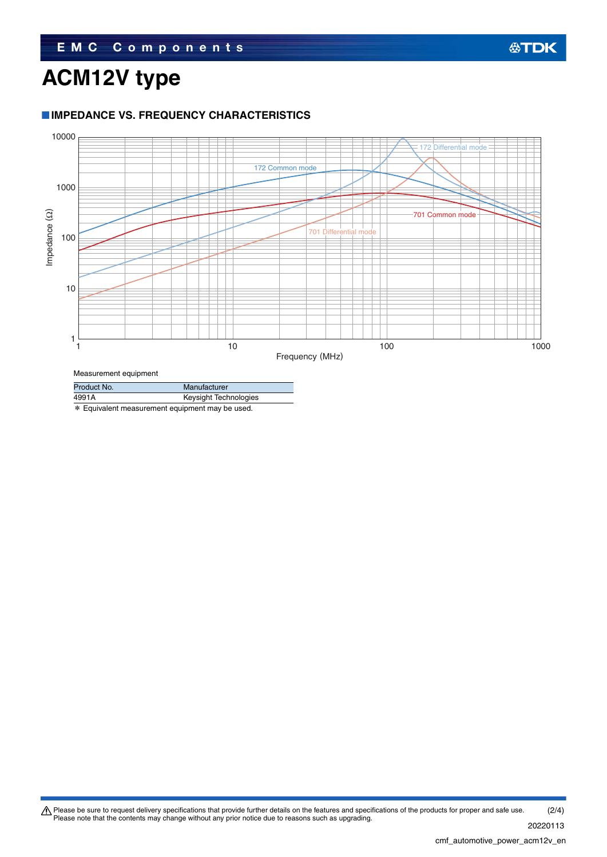# **ACM12V type**

#### **IMPEDANCE VS. FREQUENCY CHARACTERISTICS**



Measurement equipment

| Product No. | Manufacturer          |  |  |
|-------------|-----------------------|--|--|
| 4991A       | Keysight Technologies |  |  |
|             |                       |  |  |

\* Equivalent measurement equipment may be used.

Please be sure to request delivery specifications that provide further details on the features and specifications of the products for proper and safe use.<br>Please note that the contents may change without any prior notice d 20220113 (2/4)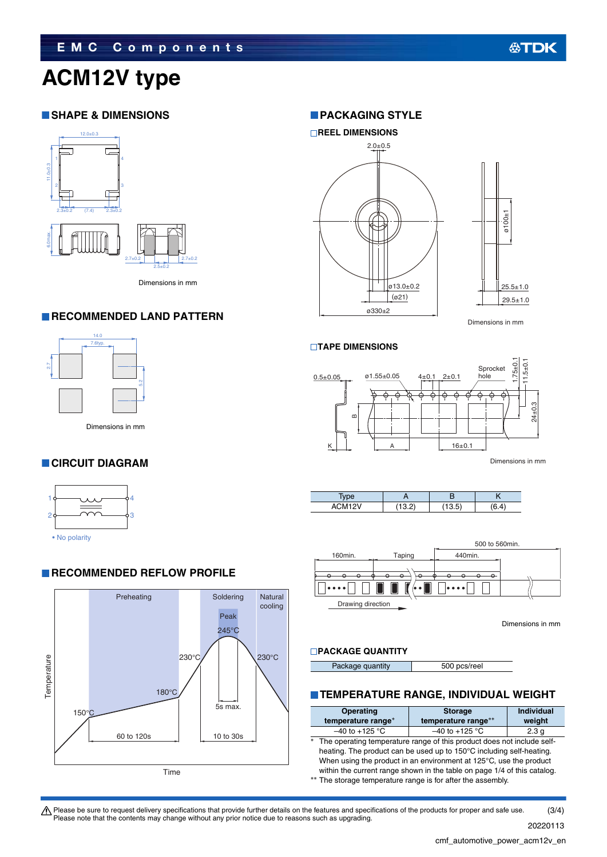# **ACM12V type**

#### **SHAPE & DIMENSIONS**



Dimensions in mm

#### **RECOMMENDED LAND PATTERN**



Dimensions in mm5.2

### **CIRCUIT DIAGRAM**



• No polarity

#### **RECOMMENDED REFLOW PROFILE**



#### **PACKAGING STYLE**



Dimensions in mm

#### **TAPE DIMENSIONS**



Dimensions in mm





Dimensions in mm

#### **PACKAGE QUANTITY**

| 500 pcs/reel<br>Package quantity |
|----------------------------------|
|----------------------------------|

#### **TEMPERATURE RANGE, INDIVIDUAL WEIGHT**

| <b>Operating</b>                                                                                                                                                                                                                                                                                                                                                       | <b>Storage</b>      | <b>Individual</b> |  |  |  |
|------------------------------------------------------------------------------------------------------------------------------------------------------------------------------------------------------------------------------------------------------------------------------------------------------------------------------------------------------------------------|---------------------|-------------------|--|--|--|
| temperature range*                                                                                                                                                                                                                                                                                                                                                     | temperature range** | weight            |  |  |  |
| $-40$ to $+125$ °C                                                                                                                                                                                                                                                                                                                                                     | $-40$ to $+125$ °C  | 2.3 <sub>q</sub>  |  |  |  |
| $*$<br>The operating temperature range of this product does not include self-<br>heating. The product can be used up to 150°C including self-heating.<br>When using the product in an environment at 125°C, use the product<br>within the current range shown in the table on page 1/4 of this catalog.<br>** The storage temperature range is for after the assembly. |                     |                   |  |  |  |

Please be sure to request delivery specifications that provide further details on the features and specifications of the products for proper and safe use.<br>Please note that the contents may change without any prior notice d (3/4)